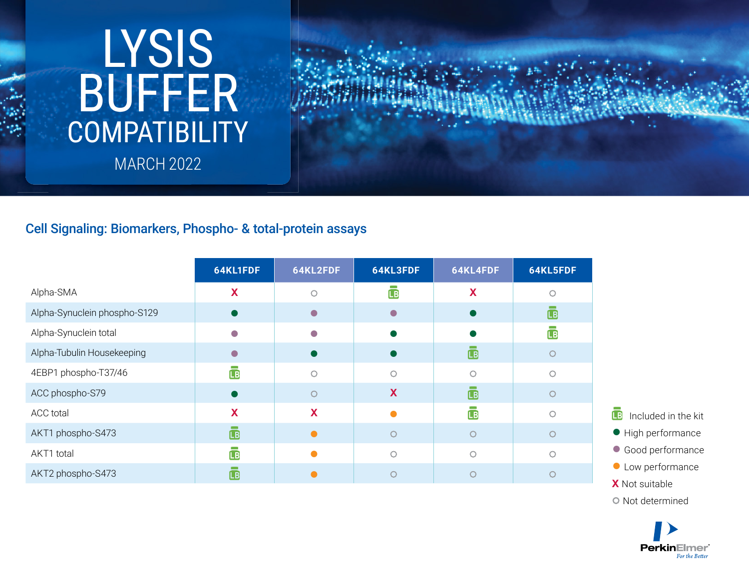## **COMPATIBILITY** LYSIS BUFFER MARCH 2022



## Cell Signaling: Biomarkers, Phospho- & total-protein assays

|                              | 64KL1FDF  | 64KL2FDF | 64KL3FDF                   | 64KL4FDF           | 64KL5FDF                |
|------------------------------|-----------|----------|----------------------------|--------------------|-------------------------|
| Alpha-SMA                    | X         | $\circ$  | a an<br>$\bar{\mathbb{B}}$ | X                  | ∩                       |
| Alpha-Synuclein phospho-S129 |           |          | $\bigcirc$                 |                    | $\overline{\mathbb{L}}$ |
| Alpha-Synuclein total        |           |          |                            |                    | $\mathbf{B}$            |
| Alpha-Tubulin Housekeeping   |           |          |                            | $\mathbf{B}$       | O                       |
| 4EBP1 phospho-T37/46         | ĹВ        |          | ∩                          |                    |                         |
| ACC phospho-S79              |           | ∩        | X                          | $\bar{\mathbb{B}}$ |                         |
| ACC total                    | X         | X        |                            | <b>IB</b>          | ∩                       |
| AKT1 phospho-S473            | $\Box$    |          | ∩                          | $\bigcirc$         |                         |
| AKT1 total                   | <b>LB</b> |          | $\bigcap$                  | $\bigcirc$         | ∩                       |
| AKT2 phospho-S473            | ĹВ        |          |                            |                    |                         |

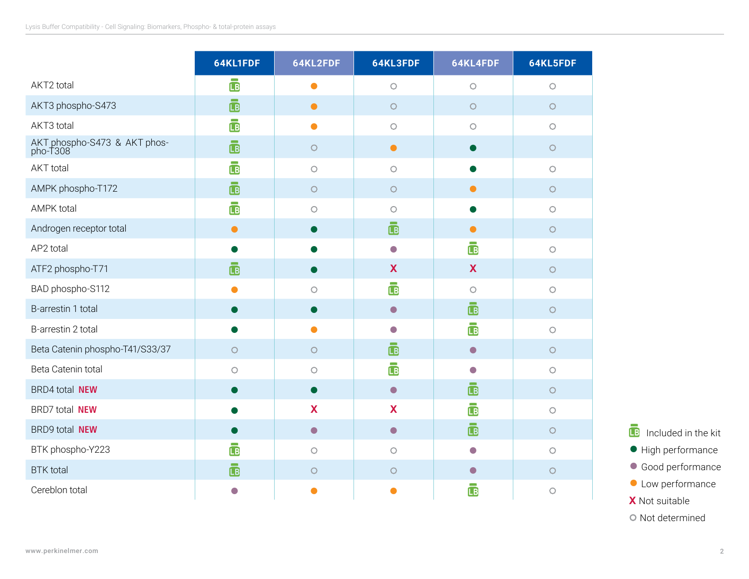|                                          | 64KL1FDF                | 64KL2FDF   | 64KL3FDF                 | 64KL4FDF           | 64KL5FDF            |
|------------------------------------------|-------------------------|------------|--------------------------|--------------------|---------------------|
| AKT2 total                               | $\overline{\mathbb{B}}$ | $\bullet$  | $\bigcirc$               | $\bigcirc$         | $\bigcirc$          |
| AKT3 phospho-S473                        | $\sim$<br>$\mathbf{B}$  | $\bullet$  | $\circ$                  | O                  | $\bigcirc$          |
| AKT3 total                               | <b>LB</b>               | $\bullet$  | $\bigcirc$               | $\bigcirc$         | $\bigcirc$          |
| AKT phospho-S473 & AKT phos-<br>pho-T308 | $\mathbf{B}$            | $\bigcirc$ | $\bullet$                | $\bullet$          | $\circ$             |
| <b>AKT</b> total                         | <b>LB</b>               | $\bigcirc$ | $\bigcirc$               |                    | $\bigcirc$          |
| AMPK phospho-T172                        | <b>IB</b>               | $\bigcirc$ | $\bigcirc$               | $\bullet$          | $\circ$             |
| <b>AMPK total</b>                        | $\mathbf{B}$            | $\circ$    | $\circ$                  | $\bullet$          | $\circ$             |
| Androgen receptor total                  | $\bullet$               |            | $\bar{\mathbf{B}}$       | $\bullet$          | $\bigcirc$          |
| AP2 total                                |                         |            | $\bigcirc$               | $\bar{\mathbb{B}}$ | $\circ$             |
| ATF2 phospho-T71                         | <b>IB</b>               |            | X                        | X                  | $\circ$             |
| BAD phospho-S112                         | $\bullet$               | $\circ$    | $\overline{\mathbb{B}}$  | $\circ$            | $\bigcirc$          |
| B-arrestin 1 total                       |                         |            | $\bullet$                | $\bar{\mathbf{B}}$ | $\circ$             |
| B-arrestin 2 total                       |                         | $\bullet$  | $\overline{\phantom{a}}$ | $\bar{\mathbb{B}}$ | $\circ$             |
| Beta Catenin phospho-T41/S33/37          | $\bigcirc$              | $\bigcirc$ | $\mathbf{B}$             | $\bullet$          | $\bigcirc$          |
| Beta Catenin total                       | О                       | $\circ$    | $\mathbf{B}$             | $\bigcirc$         | $\circlearrowright$ |
| <b>BRD4</b> total <b>NEW</b>             |                         | ●          | $\bullet$                | <b>IB</b>          | $\circ$             |
| BRD7 total NEW                           |                         | X          | X                        | <b>LB</b>          | $\circ$             |
| BRD9 total NEW                           |                         | $\bullet$  | $\bullet$                | ē                  | $\circ$             |
| BTK phospho-Y223                         | <b>LB</b>               | $\circ$    | $\bigcirc$               | $\bigcirc$         | $\bigcirc$          |
| <b>BTK</b> total                         | <b>LB</b>               | $\circ$    | $\bigcirc$               | $\bullet$          | $\circ$             |
| Cereblon total                           | $\Box$                  |            |                          | <b>LB</b>          | $\bigcirc$          |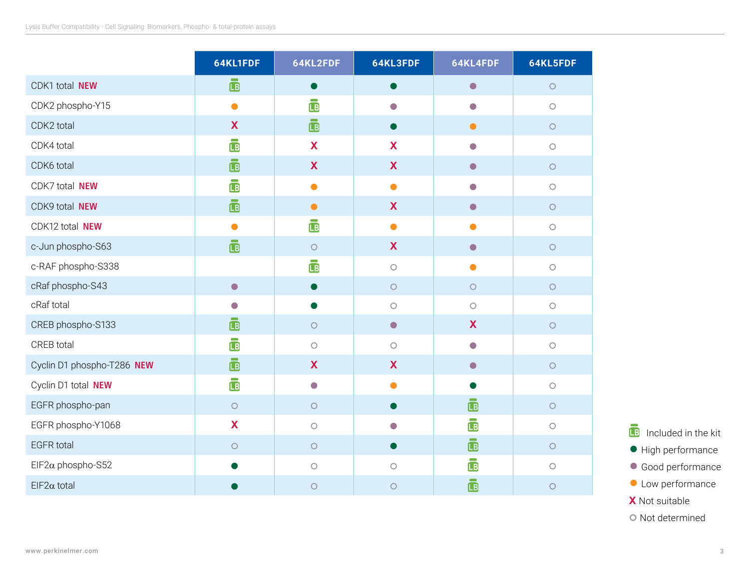|                            | 64KL1FDF                     | 64KL2FDF                  | 64KL3FDF   | 64KL4FDF           | 64KL5FDF   |
|----------------------------|------------------------------|---------------------------|------------|--------------------|------------|
| CDK1 total NEW             | $\bar{\mathbf{E}}$           | $\bullet$                 | D          | $\bullet$          | $\bigcirc$ |
| CDK2 phospho-Y15           | $\bullet$                    | $\overline{\mathbb{L}}$ B | $\Box$     | $\bigcirc$         | $\bigcirc$ |
| CDK2 total                 | X                            | $\mathbf{B}$              |            | $\bullet$          | $\bigcirc$ |
| CDK4 total                 | $\overline{\mathbb{B}}$      | X                         | X          | $\bigcirc$         | $\bigcirc$ |
| CDK6 total                 | ō                            | X                         | X          | $\bullet$          | $\bigcirc$ |
| CDK7 total NEW             | $\mathbf{B}$                 | Ο                         | ●          | O                  | $\circ$    |
| CDK9 total NEW             | ō                            | $\bullet$                 | X          | $\bullet$          | $\bigcirc$ |
| CDK12 total NEW            | $\bullet$                    | $\overline{\mathsf{LB}}$  | $\bullet$  | $\bullet$          | $\bigcirc$ |
| c-Jun phospho-S63          | $\sim$<br>$\bar{\mathbf{E}}$ | $\circ$                   | X          | $\bullet$          | $\circ$    |
| c-RAF phospho-S338         |                              | Ō                         | $\bigcirc$ | $\bullet$          | $\bigcirc$ |
| cRaf phospho-S43           | $\bullet$                    |                           | $\bigcirc$ | $\bigcirc$         | $\bigcirc$ |
| cRaf total                 | $\Box$                       |                           | $\circ$    | $\circ$            | $\circ$    |
| CREB phospho-S133          | $\overline{\mathbb{B}}$      | $\bigcirc$                | $\bullet$  | $\mathbf x$        | $\bigcirc$ |
| CREB total                 | ō                            | $\bigcirc$                | $\bigcirc$ | $\bigcirc$         | $\bigcirc$ |
| Cyclin D1 phospho-T286 NEW | $\overline{\mathbb{B}}$      | X                         | X          | $\bullet$          | $\bigcirc$ |
| Cyclin D1 total NEW        | 喦                            | $\bullet$                 | $\bullet$  |                    | $\bigcirc$ |
| EGFR phospho-pan           | $\circ$                      | $\bigcirc$                |            | $\bar{\mathbb{B}}$ | $\bigcirc$ |
| EGFR phospho-Y1068         | X                            | $\bigcirc$                | $\Box$     | ō                  | $\bigcirc$ |
| <b>EGFR</b> total          | $\bigcirc$                   | $\bigcirc$                |            | ē                  | $\bigcirc$ |
| EIF2 $\alpha$ phospho-S52  |                              | $\bigcirc$                | $\bigcirc$ | Ġ                  | $\bigcirc$ |
| $EIF2\alpha$ total         |                              | $\bigcirc$                | $\bigcirc$ | -<br><b>IB</b>     | $\bigcirc$ |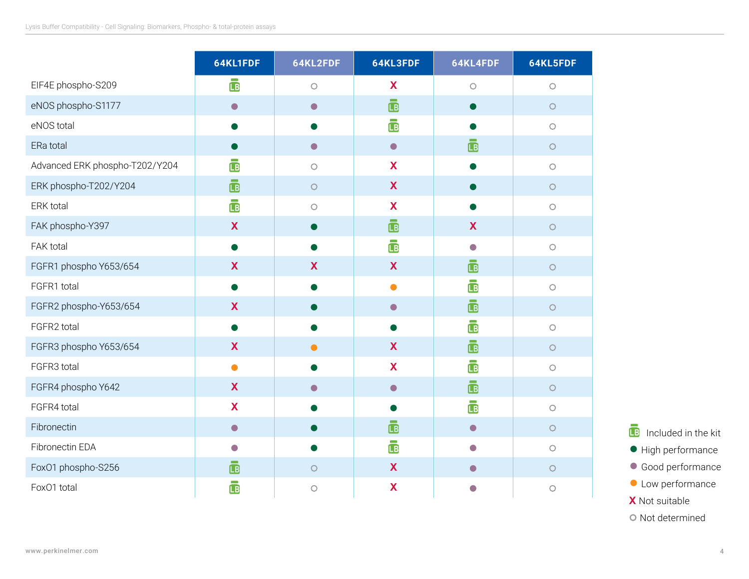|                                | 64KL1FDF   | 64KL2FDF   | 64KL3FDF                        | 64KL4FDF                | 64KL5FDF   |
|--------------------------------|------------|------------|---------------------------------|-------------------------|------------|
| EIF4E phospho-S209             | ō          | $\bigcirc$ | X                               | $\bigcirc$              | $\bigcirc$ |
| eNOS phospho-S1177             | $\bullet$  | $\bullet$  | <b>Contract</b><br>$\mathbf{B}$ |                         | $\bigcirc$ |
| eNOS total                     |            |            | $\mathbf{B}$                    |                         | $\bigcirc$ |
| ERa total                      |            | $\bullet$  | $\bullet$                       | $\overline{\mathbb{B}}$ | $\bigcirc$ |
| Advanced ERK phospho-T202/Y204 | <b>IB</b>  | $\bigcirc$ | X                               |                         | $\circ$    |
| ERK phospho-T202/Y204          | <b>IB</b>  | $\bigcirc$ | X                               |                         | $\bigcirc$ |
| ERK total                      | Ē          | $\bigcirc$ | X                               |                         | $\bigcirc$ |
| FAK phospho-Y397               | X          |            | $\mathbf{B}$                    | X                       | $\bigcirc$ |
| FAK total                      |            |            | <b>LB</b>                       | $\bigcirc$              | $\bigcirc$ |
| FGFR1 phospho Y653/654         | X          | X          | X                               | $\mathbf{B}$            | $\circ$    |
| FGFR1 total                    |            |            | ●                               | $\mathbf{B}$            | $\circ$    |
| FGFR2 phospho-Y653/654         | X          |            | $\bullet$                       | <b>IB</b>               | $\bigcirc$ |
| FGFR2 total                    | ●          |            |                                 | $\mathbf{B}$            | $\bigcirc$ |
| FGFR3 phospho Y653/654         | X          | $\bullet$  | X                               | ē                       | $\bigcirc$ |
| FGFR3 total                    | $\bullet$  |            | X                               | <b>LB</b>               | $\bigcirc$ |
| FGFR4 phospho Y642             | X          | $\bigcirc$ | $\bullet$                       | ē                       | $\circ$    |
| FGFR4 total                    | X          |            |                                 | ē                       | $\bigcirc$ |
| Fibronectin                    | $\bullet$  |            | $\mathbf{B}$                    | $\bullet$               | $\circ$    |
| Fibronectin EDA                | $\bigcirc$ |            | $\Box$                          | $\bigcirc$              | $\bigcirc$ |
| Fox01 phospho-S256             | <b>IB</b>  | $\bigcirc$ | X                               |                         | $\bigcirc$ |
| Fox01 total                    | <b>LB</b>  | $\circ$    | X                               |                         | $\circ$    |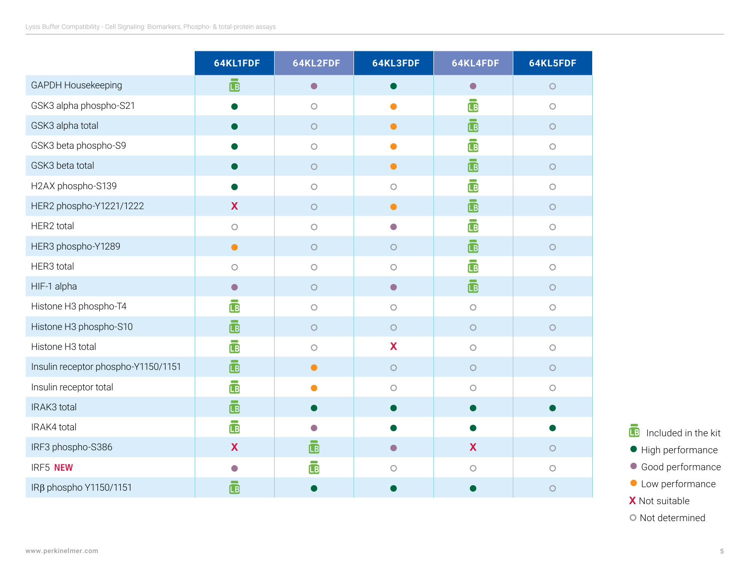|                                     | 64KL1FDF                | 64KL2FDF           | 64KL3FDF                 | 64KL4FDF                | 64KL5FDF   |
|-------------------------------------|-------------------------|--------------------|--------------------------|-------------------------|------------|
| GAPDH Housekeeping                  | $\mathbf{B}$            | $\bullet$          |                          | $\bullet$               | $\bigcirc$ |
| GSK3 alpha phospho-S21              |                         | $\circ$            |                          | $\overline{\mathbb{B}}$ | $\circ$    |
| GSK3 alpha total                    |                         | $\bigcirc$         | $\bullet$                | $\overline{\mathbb{B}}$ | $\circ$    |
| GSK3 beta phospho-S9                |                         | $\bigcirc$         |                          | 凾                       | $\bigcirc$ |
| GSK3 beta total                     |                         | $\bigcirc$         | $\bullet$                | $\bar{\mathbb{B}}$      | $\circ$    |
| H2AX phospho-S139                   |                         | $\bigcirc$         | $\circ$                  | <b>LB</b>               | $\bigcirc$ |
| HER2 phospho-Y1221/1222             | X                       | $\circ$            | $\bullet$                | ō                       | $\bigcirc$ |
| HER2 total                          | $\circ$                 | $\circ$            | $\overline{\phantom{0}}$ | $\overline{\mathbb{B}}$ | $\bigcirc$ |
| HER3 phospho-Y1289                  | $\bullet$               | $\circ$            | $\circ$                  | $\mathbf{B}$            | $\circ$    |
| HER3 total                          | $\bigcirc$              | $\bigcirc$         | $\bigcirc$               | $\overline{\mathbb{B}}$ | $\bigcirc$ |
| HIF-1 alpha                         | $\bullet$               | $\bigcirc$         | $\bullet$                | ō                       | $\circ$    |
| Histone H3 phospho-T4               | <b>IB</b>               | $\circ$            | $\circ$                  | $\circ$                 | $\circ$    |
| Histone H3 phospho-S10              | $\mathbf{B}$            | $\bigcirc$         | $\bigcirc$               | $\circ$                 | $\circ$    |
| Histone H3 total                    | Ē                       | $\circ$            | X                        | $\bigcirc$              | $\circ$    |
| Insulin receptor phospho-Y1150/1151 | $\overline{\mathbb{B}}$ | $\bullet$          | $\circ$                  | $\circ$                 | $\circ$    |
| Insulin receptor total              | $\mathbf \mathbf{B}$    | ●                  | $\circ$                  | $\circ$                 | $\circ$    |
| IRAK3 total                         | $\bar{\mathbb{B}}$      |                    |                          |                         |            |
| IRAK4 total                         | Ē                       | $\blacksquare$     |                          |                         |            |
| IRF3 phospho-S386                   | X                       | $\bar{\mathbf{B}}$ | $\bigcirc$               | $\boldsymbol{X}$        | $\circ$    |
| IRF5 NEW                            | $\blacksquare$          | <b>LB</b>          | $\circ$                  | $\bigcirc$              | $\bigcirc$ |
| IRβ phospho Y1150/1151              | <b>B</b>                |                    |                          |                         | $\circ$    |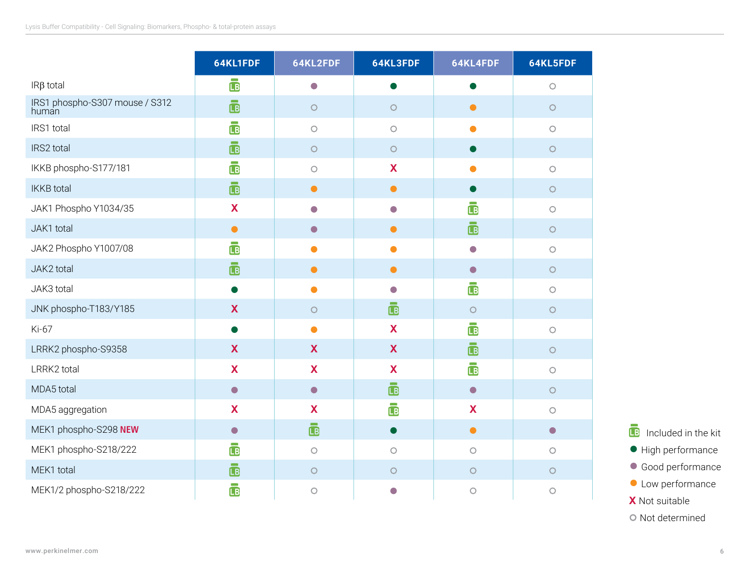|                                         | 64KL1FDF                | 64KL2FDF   | 64KL3FDF                  | 64KL4FDF                | 64KL5FDF   |
|-----------------------------------------|-------------------------|------------|---------------------------|-------------------------|------------|
| $IR\beta$ total                         | ō                       | $\bigcirc$ |                           |                         | $\bigcirc$ |
| IRS1 phospho-S307 mouse / S312<br>human | $\bar{\mathbb{B}}$      | $\bigcirc$ | $\bigcirc$                | $\bullet$               | $\bigcirc$ |
| IRS1 total                              | $\overline{\mathbb{B}}$ | $\bigcirc$ | $\bigcirc$                |                         | $\bigcirc$ |
| IRS2 total                              | $\mathbf{B}$            | $\circ$    | $\bigcirc$                | $\bullet$               | $\bigcirc$ |
| IKKB phospho-S177/181                   | $\overline{\mathbb{B}}$ | $\bigcirc$ | X                         |                         | $\bigcirc$ |
| <b>IKKB</b> total                       | <b>LB</b>               | $\bullet$  | $\bullet$                 |                         | $\bigcirc$ |
| JAK1 Phospho Y1034/35                   | X                       | $\bullet$  | $\bigcirc$                | <b>IB</b>               | $\bigcirc$ |
| JAK1 total                              | $\bullet$               | $\bullet$  | $\bullet$                 | $\overline{\mathbb{B}}$ | $\bigcirc$ |
| JAK2 Phospho Y1007/08                   | <b>IB</b>               | ●          |                           | $\bigcirc$              | $\bigcirc$ |
| JAK2 total                              | $\mathbf{B}$            | $\bullet$  | $\bullet$                 | $\bullet$               | $\bigcirc$ |
| JAK3 total                              |                         | $\bullet$  | $\bigcirc$                | $\overline{\mathbb{B}}$ | $\bigcirc$ |
| JNK phospho-T183/Y185                   | X                       | $\circ$    | Ē                         | $\circ$                 | $\bigcirc$ |
| Ki-67                                   |                         | $\bullet$  | X                         | $\mathbf{B}$            | $\bigcirc$ |
| LRRK2 phospho-S9358                     | X                       | X          | $\boldsymbol{\mathsf{X}}$ | $\mathbf{B}$            | $\bigcirc$ |
| LRRK2 total                             | X                       | X          | X                         | $\overline{\mathbb{B}}$ | $\bigcirc$ |
| MDA5 total                              | $\bullet$               | $\bullet$  | $\mathbf{B}$              | $\bullet$               | $\bigcirc$ |
| MDA5 aggregation                        | X                       | X          | $\overline{\mathbb{B}}$   | X                       | $\bigcirc$ |
| MEK1 phospho-S298 NEW                   | $\bullet$               | ō          | $\blacksquare$            | $\bullet$               | $\bullet$  |
| MEK1 phospho-S218/222                   | <b>LB</b>               | $\bigcirc$ | $\bigcirc$                | $\circ$                 | $\bigcirc$ |
| MEK1 total                              | $\mathbf{B}$            | $\bigcirc$ | $\bigcirc$                | $\bigcirc$              | $\bigcirc$ |
| MEK1/2 phospho-S218/222                 | <b>LB</b>               | $\bigcirc$ | $\bullet$                 | $\bigcirc$              | $\bigcirc$ |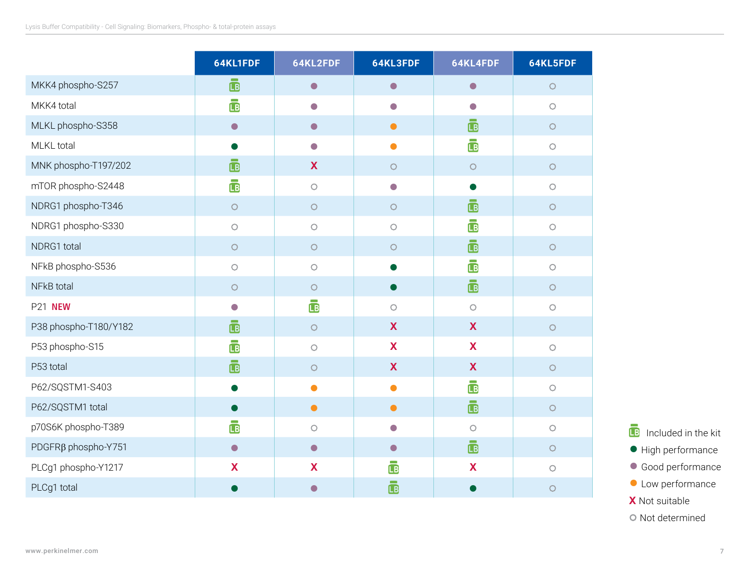|                                 | 64KL1FDF                | 64KL2FDF                 | 64KL3FDF                  | 64KL4FDF                     | 64KL5FDF   |
|---------------------------------|-------------------------|--------------------------|---------------------------|------------------------------|------------|
| MKK4 phospho-S257               | $\bar{\mathbf{B}}$      | $\bullet$                | $\bullet$                 | $\bullet$                    | $\bigcirc$ |
| MKK4 total                      | $\bar{\mathbf{B}}$      | $\overline{\phantom{a}}$ | $\Box$                    |                              | $\circ$    |
| MLKL phospho-S358               | $\bullet$               | $\bullet$                | $\bullet$                 | <b>LB</b>                    | $\bigcirc$ |
| MLKL total                      |                         | $\bullet$                | ●                         | $\overline{\mathbb{B}}$      | $\bigcirc$ |
| MNK phospho-T197/202            | Ā                       | X                        | $\bigcirc$                | $\circ$                      | $\bigcirc$ |
| mTOR phospho-S2448              | <b>LB</b>               | $\bigcirc$               | $\Box$                    |                              | $\circ$    |
| NDRG1 phospho-T346              | $\bigcirc$              | $\bigcirc$               | $\bigcirc$                | <b>Contract</b><br><b>IB</b> | $\bigcirc$ |
| NDRG1 phospho-S330              | $\bigcirc$              | $\bigcirc$               | $\bigcirc$                | ē                            | $\bigcirc$ |
| NDRG1 total                     | $\bigcirc$              | $\bigcirc$               | $\bigcirc$                | $\bar{\mathbb{B}}$           | $\circ$    |
| NFkB phospho-S536               | $\bigcirc$              | $\bigcirc$               |                           | ē                            | $\bigcirc$ |
| NFkB total                      | $\bigcirc$              | $\bigcirc$               |                           | ō                            | $\bigcirc$ |
| <b>P21 NEW</b>                  | $\bigcirc$              | œ                        | $\circ$                   | $\bigcirc$                   | $\circ$    |
| P38 phospho-T180/Y182           | $\bar{\mathbb{B}}$      | $\bigcirc$               | $\boldsymbol{\mathsf{X}}$ | X                            | $\bigcirc$ |
| P53 phospho-S15                 | $\overline{\mathbb{B}}$ | $\bigcirc$               | X                         | X                            | $\circ$    |
| P53 total                       | $\bar{\mathbb{B}}$      | $\circ$                  | X                         | X                            | $\circ$    |
| P62/SQSTM1-S403                 |                         | $\bullet$                | $\bullet$                 | œ<br>ē                       | $\bigcirc$ |
| P62/SQSTM1 total                |                         | $\bullet$                | $\bullet$                 | Ġ                            | $\bigcirc$ |
| p70S6K phospho-T389             | <b>LB</b>               | $\bigcirc$               | $\bigcirc$                | $\bigcirc$                   | $\circ$    |
| PDGFR <sub>B</sub> phospho-Y751 | $\bullet$               | $\bullet$                | $\bullet$                 | ē                            | $\bigcirc$ |
| PLCg1 phospho-Y1217             | X                       | X                        | $\bar{\mathbb{B}}$        | X                            | $\circ$    |
| PLCg1 total                     |                         |                          | $\Box$                    |                              | $\circ$    |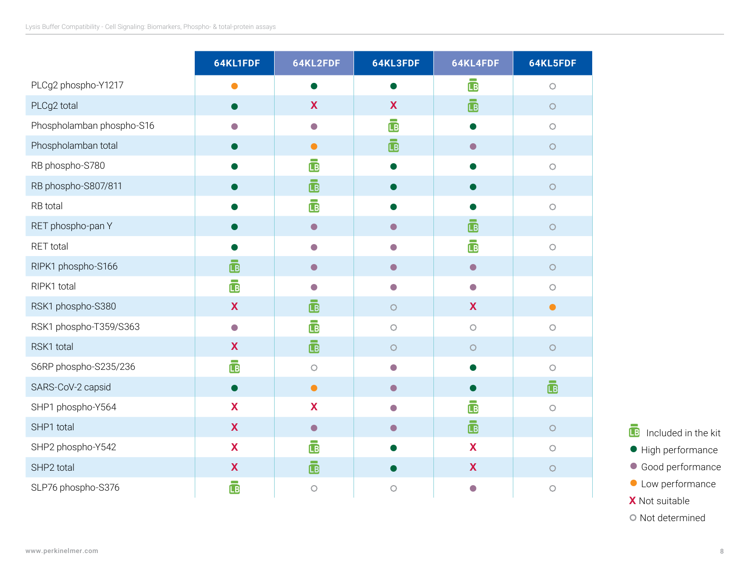|                           | 64KL1FDF                                             | 64KL2FDF           | 64KL3FDF                | 64KL4FDF                 | 64KL5FDF   |
|---------------------------|------------------------------------------------------|--------------------|-------------------------|--------------------------|------------|
| PLCg2 phospho-Y1217       | $\bullet$                                            |                    |                         | Ġ                        | $\bigcirc$ |
| PLCg2 total               |                                                      | X                  | X                       | ō                        | $\bigcirc$ |
| Phospholamban phospho-S16 | $\left( \begin{array}{c} 0 \\ 0 \end{array} \right)$ | $\bullet$          | $\overline{\mathbb{B}}$ |                          | $\bigcirc$ |
| Phospholamban total       |                                                      | $\bullet$          | $\bar{\mathbf{B}}$      | $\bullet$                | $\bigcirc$ |
| RB phospho-S780           |                                                      | ō                  |                         |                          | $\bigcirc$ |
| RB phospho-S807/811       |                                                      | $\bar{\mathbf{B}}$ |                         |                          | $\bigcirc$ |
| RB total                  |                                                      | ō                  |                         |                          | $\bigcirc$ |
| RET phospho-pan Y         |                                                      | $\bullet$          | $\bullet$               | $\bar{\mathbb{B}}$       | $\bigcirc$ |
| RET total                 |                                                      | $\Box$             | ٠                       | $\mathbf{B}$             | $\bigcirc$ |
| RIPK1 phospho-S166        | $\mathbf{B}$                                         | $\bullet$          | $\bullet$               | $\bullet$                | $\bigcirc$ |
| RIPK1 total               | $\bar{\mathbb{B}}$                                   | O                  | $\bigcirc$              | $\overline{\phantom{0}}$ | $\bigcirc$ |
| RSK1 phospho-S380         | $\mathbf x$                                          | $\mathbf{B}$       | $\bigcirc$              | X                        | $\bullet$  |
| RSK1 phospho-T359/S363    | $\bigcirc$                                           | ē                  | $\bigcirc$              | $\bigcirc$               | $\bigcirc$ |
| RSK1 total                | X                                                    | ō                  | $\bigcirc$              | $\bigcirc$               | $\bigcirc$ |
| S6RP phospho-S235/236     | $\overline{\mathbb{B}}$                              | $\circ$            | O                       |                          | O          |
| SARS-CoV-2 capsid         | $\bullet$                                            | $\bullet$          | $\bullet$               |                          | <b>LB</b>  |
| SHP1 phospho-Y564         | X                                                    | X                  | $\Box$                  | <b>IB</b>                | $\bigcirc$ |
| SHP1 total                | $\boldsymbol{\mathsf{X}}$                            | $\bullet$          | $\blacksquare$          | $\bar{\mathbf{B}}$       | $\bigcirc$ |
| SHP2 phospho-Y542         | X                                                    | Ġ                  |                         | X                        | $\bigcirc$ |
| SHP2 total                | $\mathbf x$                                          | ē                  |                         | X                        | $\bigcirc$ |
| SLP76 phospho-S376        | <b>LB</b>                                            | $\bigcirc$         | $\bigcirc$              | $\bigcirc$               | $\bigcirc$ |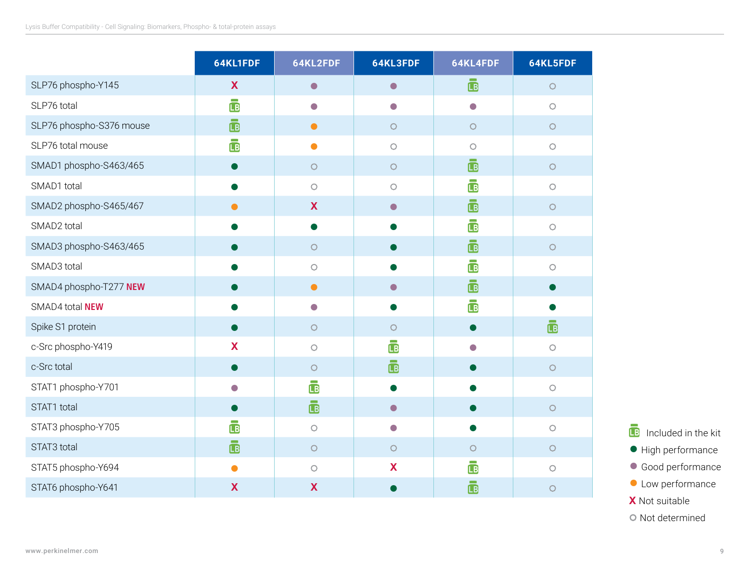|                          | 64KL1FDF     | 64KL2FDF                  | 64KL3FDF                 | 64KL4FDF                  | 64KL5FDF     |
|--------------------------|--------------|---------------------------|--------------------------|---------------------------|--------------|
| SLP76 phospho-Y145       | X            | $\bullet$                 | $\bullet$                | ē                         | $\bigcirc$   |
| SLP76 total              | $\mathbf{B}$ | $\bigcirc$                | $\overline{\phantom{a}}$ | $\bigcirc$                | $\circ$      |
| SLP76 phospho-S376 mouse | $\Box$       | $\bullet$                 | $\bigcirc$               | $\bigcirc$                | $\bigcirc$   |
| SLP76 total mouse        | <b>LB</b>    | ●                         | $\bigcirc$               | $\bigcirc$                | $\bigcirc$   |
| SMAD1 phospho-S463/465   |              | $\circ$                   | $\bigcirc$               | ē                         | $\bigcirc$   |
| SMAD1 total              |              | $\circ$                   | $\circ$                  | <b>LB</b>                 | $\circ$      |
| SMAD2 phospho-S465/467   | $\bullet$    | X                         | $\bigcirc$               | $\bar{\mathbf{B}}$        | $\circ$      |
| SMAD2 total              |              |                           |                          | ē                         | $\bigcirc$   |
| SMAD3 phospho-S463/465   |              | $\circ$                   |                          | $\bar{\mathbb{B}}$        | $\circ$      |
| SMAD3 total              |              | $\bigcirc$                |                          | Ē                         | $\circ$      |
| SMAD4 phospho-T277 NEW   |              | $\bullet$                 |                          | $\overline{\mathbb{B}}$   |              |
| SMAD4 total NEW          |              | $\bigcap$                 |                          | $\overline{\mathbb{B}}$   |              |
| Spike S1 protein         |              | $\bigcirc$                | $\circ$                  | $\bullet$                 | $\mathbf{B}$ |
| c-Src phospho-Y419       | X            | $\bigcirc$                | L <sub>B</sub>           | $\bigcirc$                | $\circ$      |
| c-Src total              |              | $\circ$                   | $\mathbf{B}$             |                           | $\circ$      |
| STAT1 phospho-Y701       | $\bigcirc$   | Ē                         |                          |                           | $\bigcirc$   |
| STAT1 total              |              | $\ddot{\mathbf{b}}$       | $\blacksquare$           |                           | $\bigcirc$   |
| STAT3 phospho-Y705       | <b>LB</b>    | $\bigcirc$                | $\overline{\phantom{0}}$ | $\bullet$                 | $\circ$      |
| STAT3 total              | <b>IB</b>    | $\bigcirc$                | $\bigcirc$               | $\circ$                   | $\circ$      |
| STAT5 phospho-Y694       |              | $\circ$                   | X                        | <b>LB</b>                 | $\circ$      |
| STAT6 phospho-Y641       | $\mathbf X$  | $\boldsymbol{\mathsf{X}}$ |                          | <b>COLOR</b><br><b>IB</b> | $\circ$      |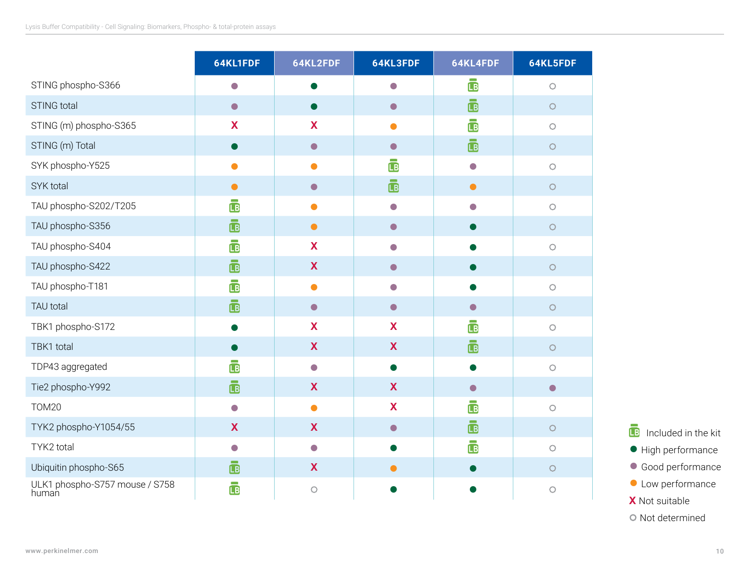|                                         | 64KL1FDF                | 64KL2FDF   | 64KL3FDF                | 64KL4FDF                 | 64KL5FDF   |
|-----------------------------------------|-------------------------|------------|-------------------------|--------------------------|------------|
| STING phospho-S366                      | $\bigcirc$              |            | $\bigcirc$              | $\bar{\mathbb{B}}$       | $\bigcirc$ |
| <b>STING total</b>                      | $\bullet$               |            | $\bullet$               | $\bar{\mathbf{B}}$       | $\bigcirc$ |
| STING (m) phospho-S365                  | X                       | X          | ●                       | $\bar{\mathbb{B}}$       | $\bigcirc$ |
| STING (m) Total                         |                         | $\bullet$  | $\bullet$               | ē                        | $\bigcirc$ |
| SYK phospho-Y525                        |                         |            | <b>LB</b>               | $\overline{\phantom{0}}$ | $\bigcirc$ |
| SYK total                               | $\bullet$               | $\bullet$  | $\overline{\mathbb{B}}$ | $\bullet$                | $\bigcirc$ |
| TAU phospho-S202/T205                   | <b>LB</b>               | $\bullet$  | $\bigcirc$              | $\Box$                   | $\bigcirc$ |
| TAU phospho-S356                        | $\bar{\mathbb{B}}$      | $\bullet$  | $\bullet$               |                          | $\circ$    |
| TAU phospho-S404                        | $\mathbf{B}$            | X          | $\bigcirc$              |                          | $\bigcirc$ |
| TAU phospho-S422                        | <b>IB</b>               | X          | $\bullet$               |                          | $\bigcirc$ |
| TAU phospho-T181                        | $\overline{\mathbb{B}}$ |            | $\bigcirc$              |                          | $\bigcirc$ |
| TAU total                               | <b>IB</b>               | $\bullet$  | $\bullet$               | $\bigcirc$               | $\bigcirc$ |
| TBK1 phospho-S172                       |                         | X          | X                       | $\overline{LB}$          | $\bigcirc$ |
| TBK1 total                              |                         | X          | X                       | <b>IB</b>                | $\bigcirc$ |
| TDP43 aggregated                        | $\overline{\mathbb{B}}$ | $\bullet$  |                         |                          | $\circ$    |
| Tie2 phospho-Y992                       | <b>IB</b>               | X          | X                       | $\bullet$                | $\bullet$  |
| <b>TOM20</b>                            | $\bigcirc$              | ●          | X                       | <b>LB</b>                | $\circ$    |
| TYK2 phospho-Y1054/55                   | X                       | X          | $\bullet$               | $\bar{\mathbf{B}}$       | $\bigcirc$ |
| TYK2 total                              | $\bigcirc$              | $\bullet$  |                         | <b>LB</b>                | $\bigcirc$ |
| Ubiquitin phospho-S65                   | $\bar{\mathbf{B}}$      | X          |                         |                          | $\circ$    |
| ULK1 phospho-S757 mouse / S758<br>human | Ō                       | $\bigcirc$ |                         |                          | $\circ$    |